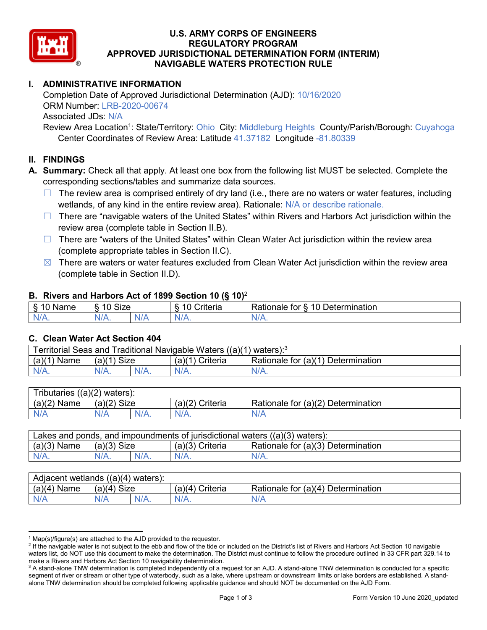

### **U.S. ARMY CORPS OF ENGINEERS REGULATORY PROGRAM APPROVED JURISDICTIONAL DETERMINATION FORM (INTERIM) NAVIGABLE WATERS PROTECTION RULE**

## **I. ADMINISTRATIVE INFORMATION**

Completion Date of Approved Jurisdictional Determination (AJD): 10/16/2020 ORM Number: LRB-2020-00674 Associated JDs: N/A

Review Area Location<sup>1</sup>: State/Territory: Ohio City: Middleburg Heights County/Parish/Borough: Cuyahoga Center Coordinates of Review Area: Latitude 41.37182 Longitude -81.80339

## **II. FINDINGS**

**A. Summary:** Check all that apply. At least one box from the following list MUST be selected. Complete the corresponding sections/tables and summarize data sources.

- $\Box$  The review area is comprised entirely of dry land (i.e., there are no waters or water features, including wetlands, of any kind in the entire review area). Rationale: N/A or describe rationale.
- $\Box$  There are "navigable waters of the United States" within Rivers and Harbors Act jurisdiction within the review area (complete table in Section II.B).
- ☐ There are "waters of the United States" within Clean Water Act jurisdiction within the review area (complete appropriate tables in Section II.C).
- $\boxtimes$  There are waters or water features excluded from Clean Water Act jurisdiction within the review area (complete table in Section II.D).

### **B. Rivers and Harbors Act of 1899 Section 10 (§ 10)**<sup>2</sup>

| . .                |                   |         |                                |                                                      |  |  |
|--------------------|-------------------|---------|--------------------------------|------------------------------------------------------|--|--|
| 8.10<br>Name<br>טי | <b>Size</b><br>10 |         | $\sim$ $\sim$<br>Criteria<br>- | -<br>$\sqrt{a}$<br>Determination<br>tor<br>≺atıonale |  |  |
| N/A.               | $N/A$ .           | $N_{L}$ | $N/A$ .                        | $\cdots$                                             |  |  |

### **C. Clean Water Act Section 404**

| Territorial Seas and Traditional Navigable Waters ((a)(1)<br>` waters): <sup>3</sup> |                |  |                    |                                    |  |  |
|--------------------------------------------------------------------------------------|----------------|--|--------------------|------------------------------------|--|--|
| (a)(1)<br>Name                                                                       | Size<br>(a)(1) |  | (a)(1)<br>Criteria | Rationale for (a)(1) Determination |  |  |
|                                                                                      | $N/A$ .        |  | $N/A$ .            | $N/A$ .                            |  |  |

| $((a)(2)$ waters):<br><b>ributaries</b> |                |         |                    |                                    |  |  |
|-----------------------------------------|----------------|---------|--------------------|------------------------------------|--|--|
| (a)(2)<br>Name                          | Size<br>(a)(2) |         | (a)(2)<br>Criteria | Rationale for (a)(2) Determination |  |  |
| N/A                                     | N/A            | $N/A$ . | $N/A$ .            | N/A                                |  |  |

| Lakes and ponds, and impoundments of jurisdictional waters $((a)(3)$ waters): |               |  |                   |                                    |  |  |
|-------------------------------------------------------------------------------|---------------|--|-------------------|------------------------------------|--|--|
| $(a)(3)$ Name                                                                 | $(a)(3)$ Size |  | $(a)(3)$ Criteria | Rationale for (a)(3) Determination |  |  |
| $N/A$ .                                                                       | $N/A$ .       |  | $N/A$ .           | $N/A$ .                            |  |  |

| Adjacent wetlands $((a)(4)$ waters): |                       |         |                   |                                       |  |  |
|--------------------------------------|-----------------------|---------|-------------------|---------------------------------------|--|--|
| (a)(4)<br>Name                       | <b>Size</b><br>(a)(4) |         | (a)(4<br>Criteria | Rationale for (a)(4)<br>Determination |  |  |
| N/A                                  | N/A                   | $N/A$ . | $N/A$ .           | N/A                                   |  |  |

 $1$  Map(s)/figure(s) are attached to the AJD provided to the requestor.

<sup>&</sup>lt;sup>2</sup> If the navigable water is not subject to the ebb and flow of the tide or included on the District's list of Rivers and Harbors Act Section 10 navigable waters list, do NOT use this document to make the determination. The District must continue to follow the procedure outlined in 33 CFR part 329.14 to make a Rivers and Harbors Act Section 10 navigability determination.

<sup>&</sup>lt;sup>3</sup> A stand-alone TNW determination is completed independently of a request for an AJD. A stand-alone TNW determination is conducted for a specific segment of river or stream or other type of waterbody, such as a lake, where upstream or downstream limits or lake borders are established. A standalone TNW determination should be completed following applicable guidance and should NOT be documented on the AJD Form.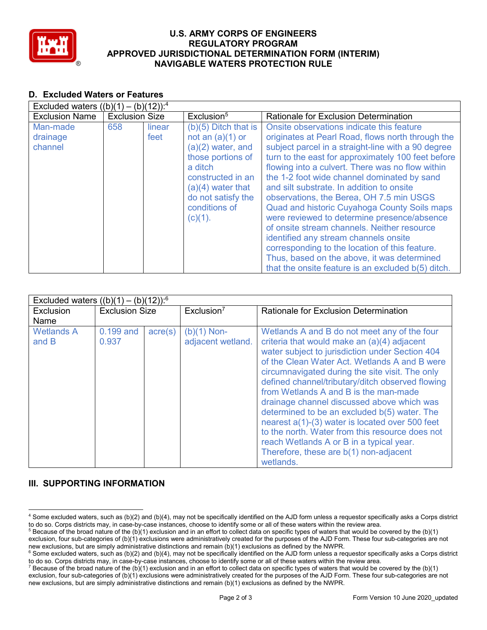

### **U.S. ARMY CORPS OF ENGINEERS REGULATORY PROGRAM APPROVED JURISDICTIONAL DETERMINATION FORM (INTERIM) NAVIGABLE WATERS PROTECTION RULE**

## **D. Excluded Waters or Features**

| Excluded waters $((b)(1) - (b)(12))$ : <sup>4</sup> |                       |                |                                                                                                                                                                                                      |                                                                                                                                                                                                                                                                                                                                                                                                                                                                                                                                                                                                                                                                                                                                                      |  |  |
|-----------------------------------------------------|-----------------------|----------------|------------------------------------------------------------------------------------------------------------------------------------------------------------------------------------------------------|------------------------------------------------------------------------------------------------------------------------------------------------------------------------------------------------------------------------------------------------------------------------------------------------------------------------------------------------------------------------------------------------------------------------------------------------------------------------------------------------------------------------------------------------------------------------------------------------------------------------------------------------------------------------------------------------------------------------------------------------------|--|--|
| <b>Exclusion Name</b>                               | <b>Exclusion Size</b> |                | Exclusion <sup>5</sup>                                                                                                                                                                               | <b>Rationale for Exclusion Determination</b>                                                                                                                                                                                                                                                                                                                                                                                                                                                                                                                                                                                                                                                                                                         |  |  |
| Man-made<br>drainage<br>channel                     | 658                   | linear<br>feet | $(b)(5)$ Ditch that is<br>not an $(a)(1)$ or<br>$(a)(2)$ water, and<br>those portions of<br>a ditch<br>constructed in an<br>$(a)(4)$ water that<br>do not satisfy the<br>conditions of<br>$(c)(1)$ . | Onsite observations indicate this feature<br>originates at Pearl Road, flows north through the<br>subject parcel in a straight-line with a 90 degree<br>turn to the east for approximately 100 feet before<br>flowing into a culvert. There was no flow within<br>the 1-2 foot wide channel dominated by sand<br>and silt substrate. In addition to onsite<br>observations, the Berea, OH 7.5 min USGS<br>Quad and historic Cuyahoga County Soils maps<br>were reviewed to determine presence/absence<br>of onsite stream channels. Neither resource<br>identified any stream channels onsite<br>corresponding to the location of this feature.<br>Thus, based on the above, it was determined<br>that the onsite feature is an excluded b(5) ditch. |  |  |

| Excluded waters $((b)(1) - (b)(12))$ : <sup>6</sup> |                       |                  |                                    |                                                                                                                                                                                                                                                                                                                                                                                                                                                                                                                                                                                                                                                        |  |
|-----------------------------------------------------|-----------------------|------------------|------------------------------------|--------------------------------------------------------------------------------------------------------------------------------------------------------------------------------------------------------------------------------------------------------------------------------------------------------------------------------------------------------------------------------------------------------------------------------------------------------------------------------------------------------------------------------------------------------------------------------------------------------------------------------------------------------|--|
| Exclusion                                           | <b>Exclusion Size</b> |                  | Exclusion <sup>7</sup>             | Rationale for Exclusion Determination                                                                                                                                                                                                                                                                                                                                                                                                                                                                                                                                                                                                                  |  |
| Name                                                |                       |                  |                                    |                                                                                                                                                                                                                                                                                                                                                                                                                                                                                                                                                                                                                                                        |  |
| <b>Wetlands A</b><br>and B                          | 0.199 and<br>0.937    | $\text{acre}(s)$ | $(b)(1)$ Non-<br>adjacent wetland. | Wetlands A and B do not meet any of the four<br>criteria that would make an (a)(4) adjacent<br>water subject to jurisdiction under Section 404<br>of the Clean Water Act. Wetlands A and B were<br>circumnavigated during the site visit. The only<br>defined channel/tributary/ditch observed flowing<br>from Wetlands A and B is the man-made<br>drainage channel discussed above which was<br>determined to be an excluded b(5) water. The<br>nearest a(1)-(3) water is located over 500 feet<br>to the north. Water from this resource does not<br>reach Wetlands A or B in a typical year.<br>Therefore, these are b(1) non-adjacent<br>wetlands. |  |

# **III. SUPPORTING INFORMATION**

 <sup>4</sup> Some excluded waters, such as (b)(2) and (b)(4), may not be specifically identified on the AJD form unless a requestor specifically asks a Corps district to do so. Corps districts may, in case-by-case instances, choose to identify some or all of these waters within the review area.

 $5$  Because of the broad nature of the (b)(1) exclusion and in an effort to collect data on specific types of waters that would be covered by the (b)(1) exclusion, four sub-categories of (b)(1) exclusions were administratively created for the purposes of the AJD Form. These four sub-categories are not new exclusions, but are simply administrative distinctions and remain (b

<sup>&</sup>lt;sup>6</sup> Some excluded waters, such as (b)(2) and (b)(4), may not be specifically identified on the AJD form unless a requestor specifically asks a Corps district to do so. Corps districts may, in case-by-case instances, choose to identify some or all of these waters within the review area.

<sup>&</sup>lt;sup>7</sup> Because of the broad nature of the (b)(1) exclusion and in an effort to collect data on specific types of waters that would be covered by the (b)(1) exclusion, four sub-categories of (b)(1) exclusions were administratively created for the purposes of the AJD Form. These four sub-categories are not new exclusions, but are simply administrative distinctions and remain (b)(1) exclusions as defined by the NWPR.